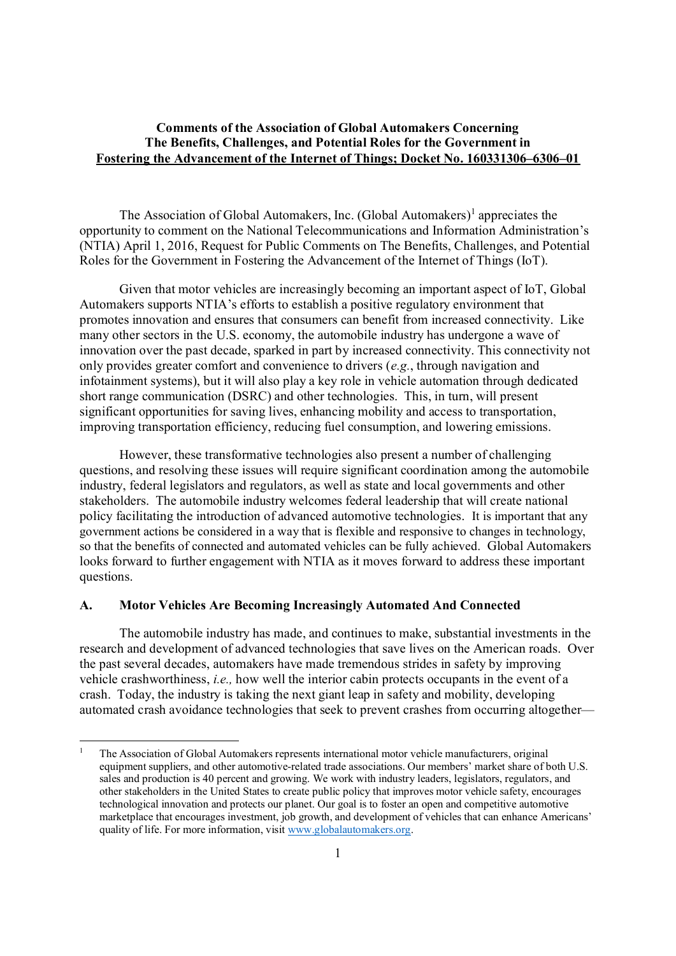### **Comments of the Association of Global Automakers Concerning The Benefits, Challenges, and Potential Roles for the Government in Fostering the Advancement of the Internet of Things; Docket No. 160331306–6306–01**

The Association of Global Automakers, Inc. (Global Automakers)<sup>1</sup> appreciates the opportunity to comment on the National Telecommunications and Information Administration's (NTIA) April 1, 2016, Request for Public Comments on The Benefits, Challenges, and Potential Roles for the Government in Fostering the Advancement of the Internet of Things (IoT).

Given that motor vehicles are increasingly becoming an important aspect of IoT, Global Automakers supports NTIA's efforts to establish a positive regulatory environment that promotes innovation and ensures that consumers can benefit from increased connectivity. Like many other sectors in the U.S. economy, the automobile industry has undergone a wave of innovation over the past decade, sparked in part by increased connectivity. This connectivity not only provides greater comfort and convenience to drivers (*e.g.*, through navigation and infotainment systems), but it will also play a key role in vehicle automation through dedicated short range communication (DSRC) and other technologies. This, in turn, will present significant opportunities for saving lives, enhancing mobility and access to transportation, improving transportation efficiency, reducing fuel consumption, and lowering emissions.

However, these transformative technologies also present a number of challenging questions, and resolving these issues will require significant coordination among the automobile industry, federal legislators and regulators, as well as state and local governments and other stakeholders. The automobile industry welcomes federal leadership that will create national policy facilitating the introduction of advanced automotive technologies. It is important that any government actions be considered in a way that is flexible and responsive to changes in technology, so that the benefits of connected and automated vehicles can be fully achieved. Global Automakers looks forward to further engagement with NTIA as it moves forward to address these important questions.

#### **A. Motor Vehicles Are Becoming Increasingly Automated And Connected**

The automobile industry has made, and continues to make, substantial investments in the research and development of advanced technologies that save lives on the American roads. Over the past several decades, automakers have made tremendous strides in safety by improving vehicle crashworthiness, *i.e.,* how well the interior cabin protects occupants in the event of a crash. Today, the industry is taking the next giant leap in safety and mobility, developing automated crash avoidance technologies that seek to prevent crashes from occurring altogether—

<sup>1</sup> The Association of Global Automakers represents international motor vehicle manufacturers, original equipment suppliers, and other automotive-related trade associations. Our members' market share of both U.S. sales and production is 40 percent and growing. We work with industry leaders, legislators, regulators, and other stakeholders in the United States to create public policy that improves motor vehicle safety, encourages technological innovation and protects our planet. Our goal is to foster an open and competitive automotive marketplace that encourages investment, job growth, and development of vehicles that can enhance Americans' quality of life. For more information, visit www.globalautomakers.org.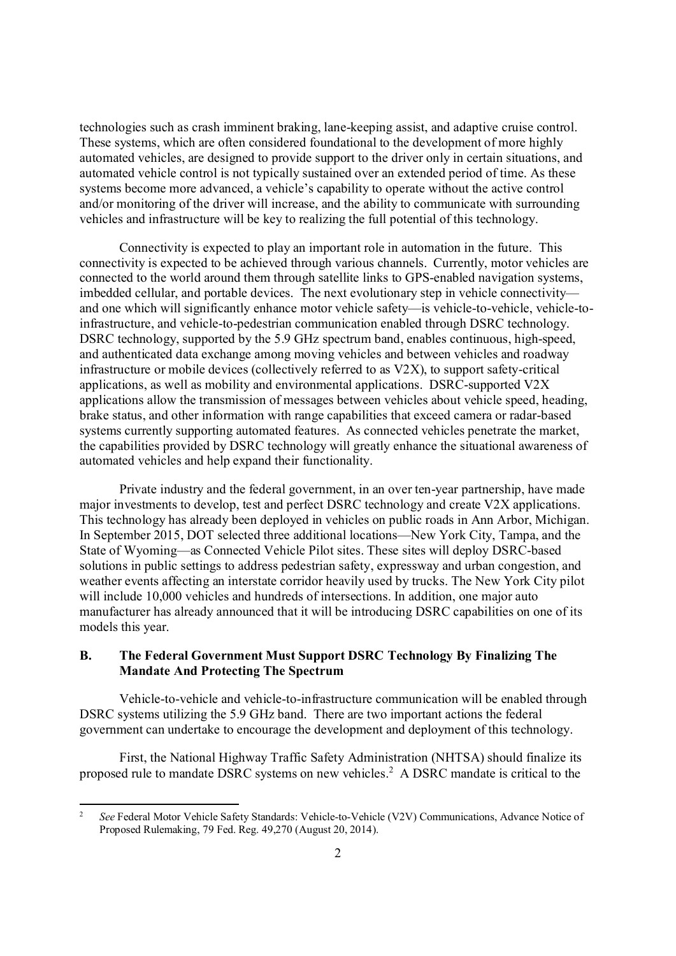technologies such as crash imminent braking, lane-keeping assist, and adaptive cruise control. These systems, which are often considered foundational to the development of more highly automated vehicles, are designed to provide support to the driver only in certain situations, and automated vehicle control is not typically sustained over an extended period of time. As these systems become more advanced, a vehicle's capability to operate without the active control and/or monitoring of the driver will increase, and the ability to communicate with surrounding vehicles and infrastructure will be key to realizing the full potential of this technology.

Connectivity is expected to play an important role in automation in the future. This connectivity is expected to be achieved through various channels. Currently, motor vehicles are connected to the world around them through satellite links to GPS-enabled navigation systems, imbedded cellular, and portable devices. The next evolutionary step in vehicle connectivity and one which will significantly enhance motor vehicle safety—is vehicle-to-vehicle, vehicle-toinfrastructure, and vehicle-to-pedestrian communication enabled through DSRC technology. DSRC technology, supported by the 5.9 GHz spectrum band, enables continuous, high-speed, and authenticated data exchange among moving vehicles and between vehicles and roadway infrastructure or mobile devices (collectively referred to as V2X), to support safety-critical applications, as well as mobility and environmental applications. DSRC-supported V2X applications allow the transmission of messages between vehicles about vehicle speed, heading, brake status, and other information with range capabilities that exceed camera or radar-based systems currently supporting automated features. As connected vehicles penetrate the market, the capabilities provided by DSRC technology will greatly enhance the situational awareness of automated vehicles and help expand their functionality.

Private industry and the federal government, in an over ten-year partnership, have made major investments to develop, test and perfect DSRC technology and create V2X applications. This technology has already been deployed in vehicles on public roads in Ann Arbor, Michigan. In September 2015, DOT selected three additional locations—New York City, Tampa, and the State of Wyoming—as Connected Vehicle Pilot sites. These sites will deploy DSRC-based solutions in public settings to address pedestrian safety, expressway and urban congestion, and weather events affecting an interstate corridor heavily used by trucks. The New York City pilot will include 10,000 vehicles and hundreds of intersections. In addition, one major auto manufacturer has already announced that it will be introducing DSRC capabilities on one of its models this year.

## **B. The Federal Government Must Support DSRC Technology By Finalizing The Mandate And Protecting The Spectrum**

Vehicle-to-vehicle and vehicle-to-infrastructure communication will be enabled through DSRC systems utilizing the 5.9 GHz band. There are two important actions the federal government can undertake to encourage the development and deployment of this technology.

First, the National Highway Traffic Safety Administration (NHTSA) should finalize its proposed rule to mandate DSRC systems on new vehicles.<sup>2</sup> A DSRC mandate is critical to the

<sup>&</sup>lt;sup>2</sup> *See* Federal Motor Vehicle Safety Standards: Vehicle-to-Vehicle (V2V) Communications, Advance Notice of Proposed Rulemaking, 79 Fed. Reg. 49,270 (August 20, 2014).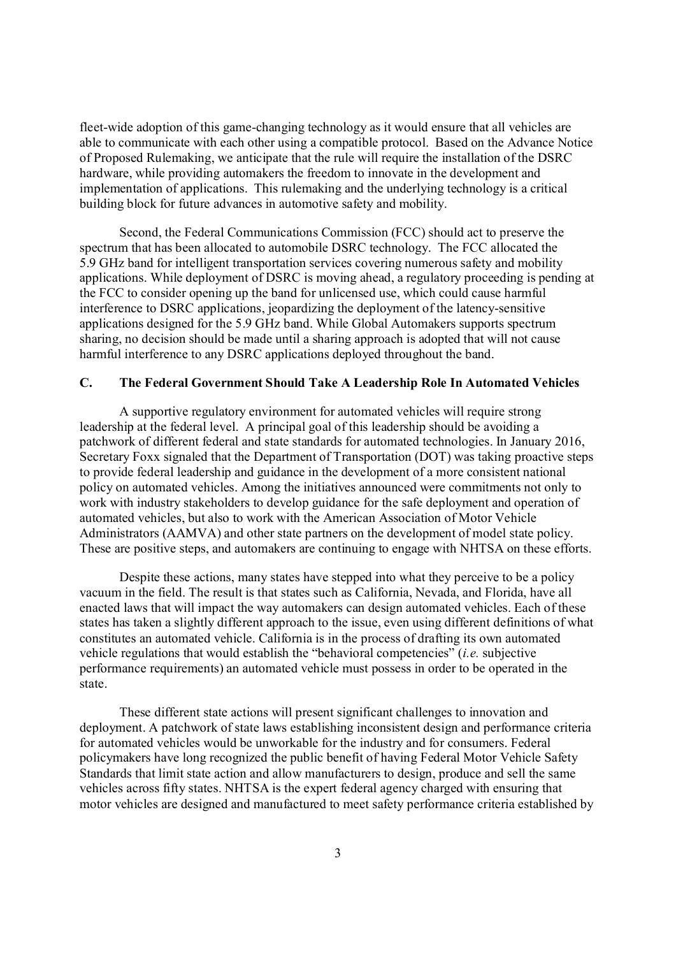fleet-wide adoption of this game-changing technology as it would ensure that all vehicles are able to communicate with each other using a compatible protocol. Based on the Advance Notice of Proposed Rulemaking, we anticipate that the rule will require the installation of the DSRC hardware, while providing automakers the freedom to innovate in the development and implementation of applications. This rulemaking and the underlying technology is a critical building block for future advances in automotive safety and mobility.

Second, the Federal Communications Commission (FCC) should act to preserve the spectrum that has been allocated to automobile DSRC technology. The FCC allocated the 5.9 GHz band for intelligent transportation services covering numerous safety and mobility applications. While deployment of DSRC is moving ahead, a regulatory proceeding is pending at the FCC to consider opening up the band for unlicensed use, which could cause harmful interference to DSRC applications, jeopardizing the deployment of the latency-sensitive applications designed for the 5.9 GHz band. While Global Automakers supports spectrum sharing, no decision should be made until a sharing approach is adopted that will not cause harmful interference to any DSRC applications deployed throughout the band.

## **C. The Federal Government Should Take A Leadership Role In Automated Vehicles**

A supportive regulatory environment for automated vehicles will require strong leadership at the federal level. A principal goal of this leadership should be avoiding a patchwork of different federal and state standards for automated technologies. In January 2016, Secretary Foxx signaled that the Department of Transportation (DOT) was taking proactive steps to provide federal leadership and guidance in the development of a more consistent national policy on automated vehicles. Among the initiatives announced were commitments not only to work with industry stakeholders to develop guidance for the safe deployment and operation of automated vehicles, but also to work with the American Association of Motor Vehicle Administrators (AAMVA) and other state partners on the development of model state policy. These are positive steps, and automakers are continuing to engage with NHTSA on these efforts.

Despite these actions, many states have stepped into what they perceive to be a policy vacuum in the field. The result is that states such as California, Nevada, and Florida, have all enacted laws that will impact the way automakers can design automated vehicles. Each of these states has taken a slightly different approach to the issue, even using different definitions of what constitutes an automated vehicle. California is in the process of drafting its own automated vehicle regulations that would establish the "behavioral competencies" (*i.e.* subjective performance requirements) an automated vehicle must possess in order to be operated in the state.

These different state actions will present significant challenges to innovation and deployment. A patchwork of state laws establishing inconsistent design and performance criteria for automated vehicles would be unworkable for the industry and for consumers. Federal policymakers have long recognized the public benefit of having Federal Motor Vehicle Safety Standards that limit state action and allow manufacturers to design, produce and sell the same vehicles across fifty states. NHTSA is the expert federal agency charged with ensuring that motor vehicles are designed and manufactured to meet safety performance criteria established by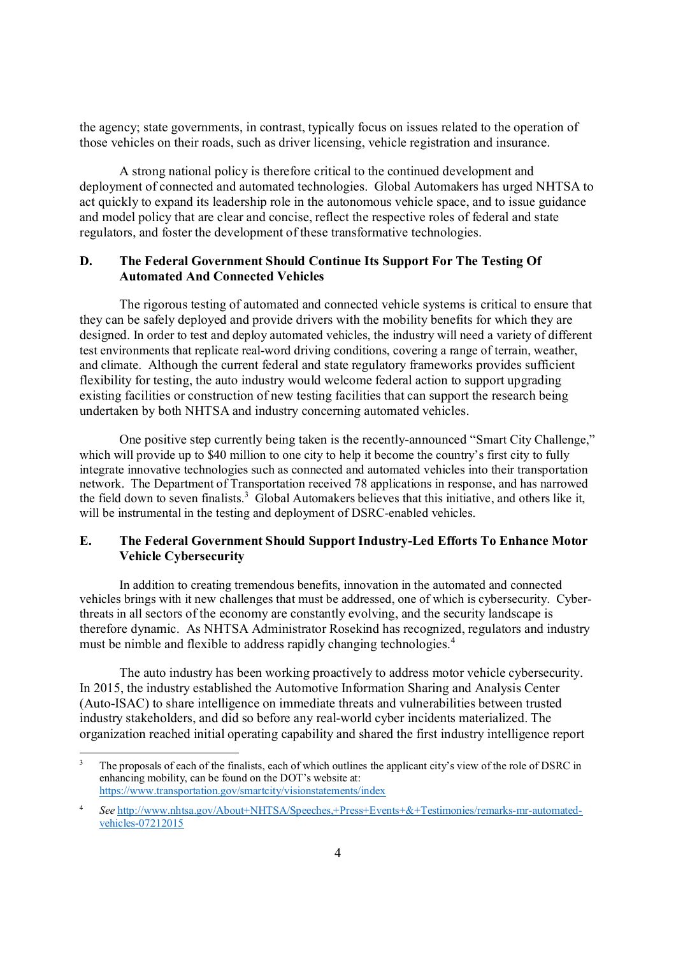the agency; state governments, in contrast, typically focus on issues related to the operation of those vehicles on their roads, such as driver licensing, vehicle registration and insurance.

A strong national policy is therefore critical to the continued development and deployment of connected and automated technologies. Global Automakers has urged NHTSA to act quickly to expand its leadership role in the autonomous vehicle space, and to issue guidance and model policy that are clear and concise, reflect the respective roles of federal and state regulators, and foster the development of these transformative technologies.

# **D. The Federal Government Should Continue Its Support For The Testing Of Automated And Connected Vehicles**

The rigorous testing of automated and connected vehicle systems is critical to ensure that they can be safely deployed and provide drivers with the mobility benefits for which they are designed. In order to test and deploy automated vehicles, the industry will need a variety of different test environments that replicate real-word driving conditions, covering a range of terrain, weather, and climate. Although the current federal and state regulatory frameworks provides sufficient flexibility for testing, the auto industry would welcome federal action to support upgrading existing facilities or construction of new testing facilities that can support the research being undertaken by both NHTSA and industry concerning automated vehicles.

One positive step currently being taken is the recently-announced "Smart City Challenge," which will provide up to \$40 million to one city to help it become the country's first city to fully integrate innovative technologies such as connected and automated vehicles into their transportation network. The Department of Transportation received 78 applications in response, and has narrowed the field down to seven finalists.<sup>3</sup> Global Automakers believes that this initiative, and others like it, will be instrumental in the testing and deployment of DSRC-enabled vehicles.

# **E. The Federal Government Should Support Industry-Led Efforts To Enhance Motor Vehicle Cybersecurity**

In addition to creating tremendous benefits, innovation in the automated and connected vehicles brings with it new challenges that must be addressed, one of which is cybersecurity. Cyberthreats in all sectors of the economy are constantly evolving, and the security landscape is therefore dynamic. As NHTSA Administrator Rosekind has recognized, regulators and industry must be nimble and flexible to address rapidly changing technologies.<sup>4</sup>

The auto industry has been working proactively to address motor vehicle cybersecurity. In 2015, the industry established the Automotive Information Sharing and Analysis Center (Auto-ISAC) to share intelligence on immediate threats and vulnerabilities between trusted industry stakeholders, and did so before any real-world cyber incidents materialized. The organization reached initial operating capability and shared the first industry intelligence report

<sup>3</sup> The proposals of each of the finalists, each of which outlines the applicant city's view of the role of DSRC in enhancing mobility, can be found on the DOT's website at: https://www.transportation.gov/smartcity/visionstatements/index

<sup>4</sup> *See* http://www.nhtsa.gov/About+NHTSA/Speeches,+Press+Events+&+Testimonies/remarks-mr-automatedvehicles-07212015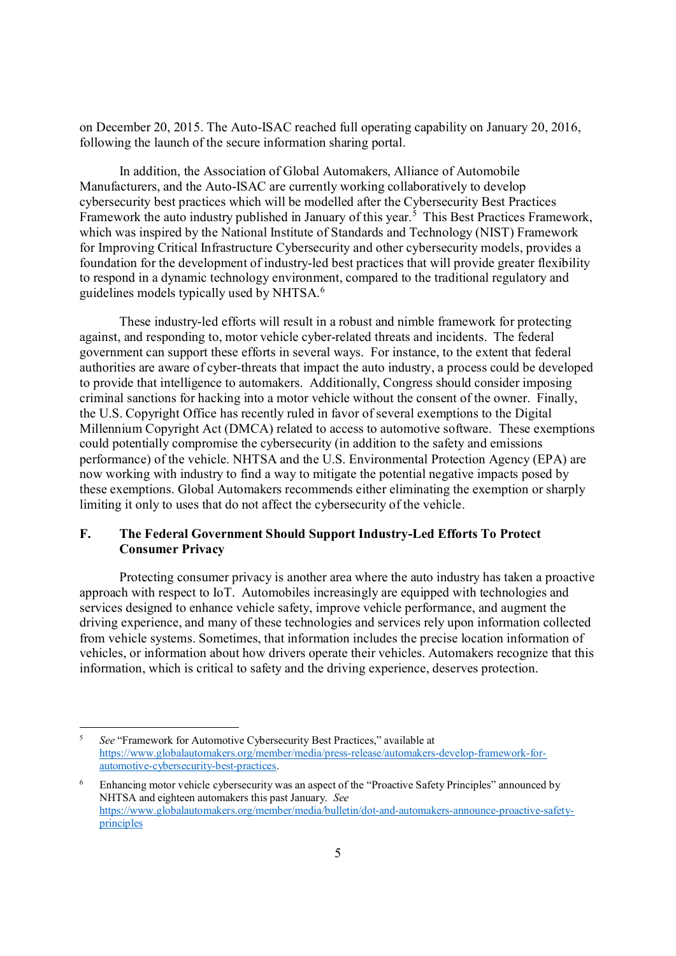on December 20, 2015. The Auto-ISAC reached full operating capability on January 20, 2016, following the launch of the secure information sharing portal.

In addition, the Association of Global Automakers, Alliance of Automobile Manufacturers, and the Auto-ISAC are currently working collaboratively to develop cybersecurity best practices which will be modelled after the Cybersecurity Best Practices Framework the auto industry published in January of this year.<sup>5</sup> This Best Practices Framework, which was inspired by the National Institute of Standards and Technology (NIST) Framework for Improving Critical Infrastructure Cybersecurity and other cybersecurity models, provides a foundation for the development of industry-led best practices that will provide greater flexibility to respond in a dynamic technology environment, compared to the traditional regulatory and guidelines models typically used by NHTSA.<sup>6</sup>

These industry-led efforts will result in a robust and nimble framework for protecting against, and responding to, motor vehicle cyber-related threats and incidents. The federal government can support these efforts in several ways. For instance, to the extent that federal authorities are aware of cyber-threats that impact the auto industry, a process could be developed to provide that intelligence to automakers. Additionally, Congress should consider imposing criminal sanctions for hacking into a motor vehicle without the consent of the owner. Finally, the U.S. Copyright Office has recently ruled in favor of several exemptions to the Digital Millennium Copyright Act (DMCA) related to access to automotive software. These exemptions could potentially compromise the cybersecurity (in addition to the safety and emissions performance) of the vehicle. NHTSA and the U.S. Environmental Protection Agency (EPA) are now working with industry to find a way to mitigate the potential negative impacts posed by these exemptions. Global Automakers recommends either eliminating the exemption or sharply limiting it only to uses that do not affect the cybersecurity of the vehicle.

## **F. The Federal Government Should Support Industry-Led Efforts To Protect Consumer Privacy**

Protecting consumer privacy is another area where the auto industry has taken a proactive approach with respect to IoT. Automobiles increasingly are equipped with technologies and services designed to enhance vehicle safety, improve vehicle performance, and augment the driving experience, and many of these technologies and services rely upon information collected from vehicle systems. Sometimes, that information includes the precise location information of vehicles, or information about how drivers operate their vehicles. Automakers recognize that this information, which is critical to safety and the driving experience, deserves protection.

<sup>5</sup> *See* "Framework for Automotive Cybersecurity Best Practices," available at https://www.globalautomakers.org/member/media/press-release/automakers-develop-framework-forautomotive-cybersecurity-best-practices.

<sup>6</sup> Enhancing motor vehicle cybersecurity was an aspect of the "Proactive Safety Principles" announced by NHTSA and eighteen automakers this past January. *See* https://www.globalautomakers.org/member/media/bulletin/dot-and-automakers-announce-proactive-safetyprinciples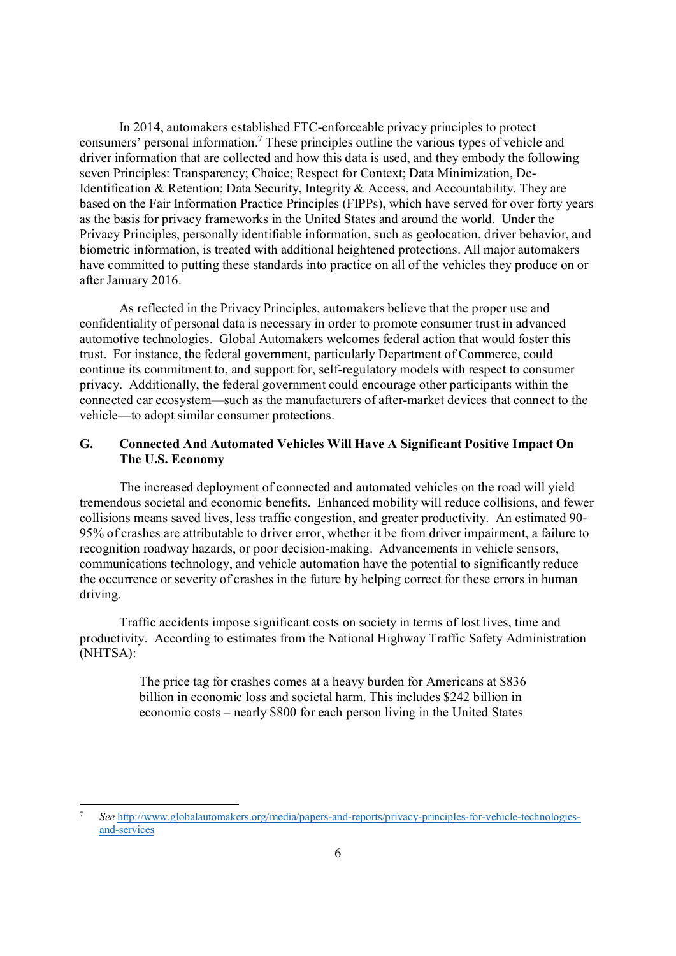In 2014, automakers established FTC-enforceable privacy principles to protect consumers' personal information.<sup>7</sup> These principles outline the various types of vehicle and driver information that are collected and how this data is used, and they embody the following seven Principles: Transparency; Choice; Respect for Context; Data Minimization, De-Identification & Retention; Data Security, Integrity & Access, and Accountability. They are based on the Fair Information Practice Principles (FIPPs), which have served for over forty years as the basis for privacy frameworks in the United States and around the world. Under the Privacy Principles, personally identifiable information, such as geolocation, driver behavior, and biometric information, is treated with additional heightened protections. All major automakers have committed to putting these standards into practice on all of the vehicles they produce on or after January 2016.

As reflected in the Privacy Principles, automakers believe that the proper use and confidentiality of personal data is necessary in order to promote consumer trust in advanced automotive technologies. Global Automakers welcomes federal action that would foster this trust. For instance, the federal government, particularly Department of Commerce, could continue its commitment to, and support for, self-regulatory models with respect to consumer privacy. Additionally, the federal government could encourage other participants within the connected car ecosystem—such as the manufacturers of after-market devices that connect to the vehicle—to adopt similar consumer protections.

## **G. Connected And Automated Vehicles Will Have A Significant Positive Impact On The U.S. Economy**

The increased deployment of connected and automated vehicles on the road will yield tremendous societal and economic benefits. Enhanced mobility will reduce collisions, and fewer collisions means saved lives, less traffic congestion, and greater productivity. An estimated 90- 95% of crashes are attributable to driver error, whether it be from driver impairment, a failure to recognition roadway hazards, or poor decision-making. Advancements in vehicle sensors, communications technology, and vehicle automation have the potential to significantly reduce the occurrence or severity of crashes in the future by helping correct for these errors in human driving.

Traffic accidents impose significant costs on society in terms of lost lives, time and productivity. According to estimates from the National Highway Traffic Safety Administration (NHTSA):

> The price tag for crashes comes at a heavy burden for Americans at \$836 billion in economic loss and societal harm. This includes \$242 billion in economic costs – nearly \$800 for each person living in the United States

<sup>7</sup> *See* http://www.globalautomakers.org/media/papers-and-reports/privacy-principles-for-vehicle-technologiesand-services